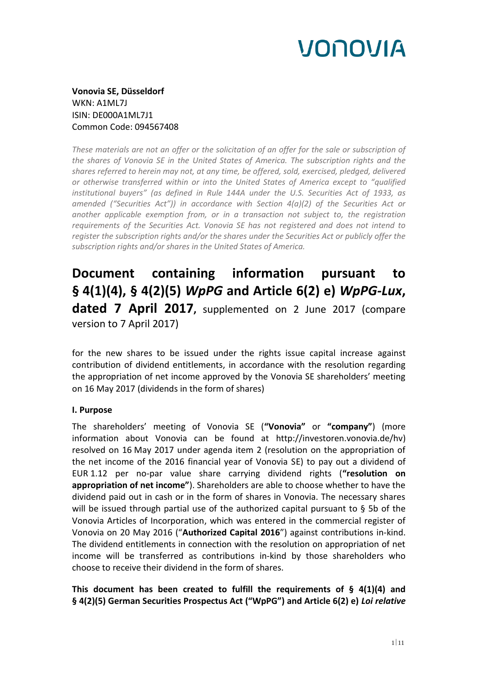**Vonovia SE, Düsseldorf** WKN: A1ML7J ISIN: DE000A1ML7J1 Common Code: 094567408

*These materials are not an offer or the solicitation of an offer for the sale or subscription of the shares of Vonovia SE in the United States of America. The subscription rights and the shares referred to herein may not, at any time, be offered, sold, exercised, pledged, delivered or otherwise transferred within or into the United States of America except to "qualified institutional buyers" (as defined in Rule 144A under the U.S. Securities Act of 1933, as amended ("Securities Act")) in accordance with Section 4(a)(2) of the Securities Act or another applicable exemption from, or in a transaction not subject to, the registration requirements of the Securities Act. Vonovia SE has not registered and does not intend to register the subscription rights and/or the shares under the Securities Act or publicly offer the subscription rights and/or shares in the United States of America.*

# **Document containing information pursuant to § 4(1)(4), § 4(2)(5)** *WpPG* **and Article 6(2) e)** *WpPG-Lux***, dated 7 April 2017,** supplemented on 2 June 2017 (compare version to 7 April 2017)

for the new shares to be issued under the rights issue capital increase against contribution of dividend entitlements, in accordance with the resolution regarding the appropriation of net income approved by the Vonovia SE shareholders' meeting on 16 May 2017 (dividends in the form of shares)

# **I. Purpose**

The shareholders' meeting of Vonovia SE (**"Vonovia"** or **"company"**) (more information about Vonovia can be found at http://investoren.vonovia.de/hv) resolved on 16 May 2017 under agenda item 2 (resolution on the appropriation of the net income of the 2016 financial year of Vonovia SE) to pay out a dividend of EUR 1.12 per no-par value share carrying dividend rights (**"resolution on appropriation of net income"**). Shareholders are able to choose whether to have the dividend paid out in cash or in the form of shares in Vonovia. The necessary shares will be issued through partial use of the authorized capital pursuant to  $\S$  5b of the Vonovia Articles of Incorporation, which was entered in the commercial register of Vonovia on 20 May 2016 ("**Authorized Capital 2016**") against contributions in-kind. The dividend entitlements in connection with the resolution on appropriation of net income will be transferred as contributions in-kind by those shareholders who choose to receive their dividend in the form of shares.

**This document has been created to fulfill the requirements of § 4(1)(4) and § 4(2)(5) German Securities Prospectus Act ("WpPG") and Article 6(2) e)** *Loi relative*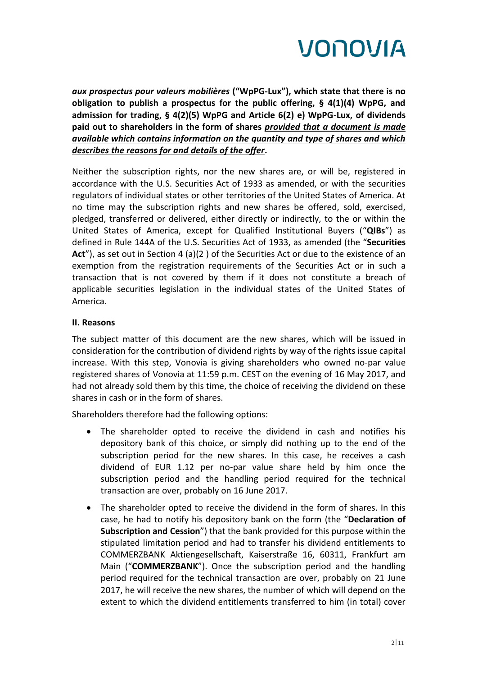

*aux prospectus pour valeurs mobilières* **("WpPG-Lux"), which state that there is no obligation to publish a prospectus for the public offering, § 4(1)(4) WpPG, and admission for trading, § 4(2)(5) WpPG and Article 6(2) e) WpPG-Lux, of dividends paid out to shareholders in the form of shares** *provided that a document is made available which contains information on the quantity and type of shares and which describes the reasons for and details of the offer***.** 

Neither the subscription rights, nor the new shares are, or will be, registered in accordance with the U.S. Securities Act of 1933 as amended, or with the securities regulators of individual states or other territories of the United States of America. At no time may the subscription rights and new shares be offered, sold, exercised, pledged, transferred or delivered, either directly or indirectly, to the or within the United States of America, except for Qualified Institutional Buyers ("**QIBs**") as defined in Rule 144A of the U.S. Securities Act of 1933, as amended (the "**Securities**  Act"), as set out in Section 4 (a)(2) of the Securities Act or due to the existence of an exemption from the registration requirements of the Securities Act or in such a transaction that is not covered by them if it does not constitute a breach of applicable securities legislation in the individual states of the United States of America.

### **II. Reasons**

The subject matter of this document are the new shares, which will be issued in consideration for the contribution of dividend rights by way of the rights issue capital increase. With this step, Vonovia is giving shareholders who owned no-par value registered shares of Vonovia at 11:59 p.m. CEST on the evening of 16 May 2017, and had not already sold them by this time, the choice of receiving the dividend on these shares in cash or in the form of shares.

Shareholders therefore had the following options:

- The shareholder opted to receive the dividend in cash and notifies his depository bank of this choice, or simply did nothing up to the end of the subscription period for the new shares. In this case, he receives a cash dividend of EUR 1.12 per no-par value share held by him once the subscription period and the handling period required for the technical transaction are over, probably on 16 June 2017.
- The shareholder opted to receive the dividend in the form of shares. In this case, he had to notify his depository bank on the form (the "**Declaration of Subscription and Cession**") that the bank provided for this purpose within the stipulated limitation period and had to transfer his dividend entitlements to COMMERZBANK Aktiengesellschaft, Kaiserstraße 16, 60311, Frankfurt am Main ("**COMMERZBANK**"). Once the subscription period and the handling period required for the technical transaction are over, probably on 21 June 2017, he will receive the new shares, the number of which will depend on the extent to which the dividend entitlements transferred to him (in total) cover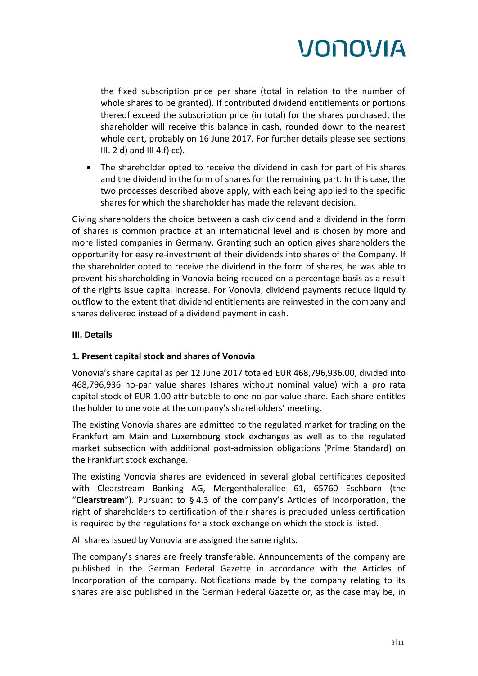the fixed subscription price per share (total in relation to the number of whole shares to be granted). If contributed dividend entitlements or portions thereof exceed the subscription price (in total) for the shares purchased, the shareholder will receive this balance in cash, rounded down to the nearest whole cent, probably on 16 June 2017. For further details please see sections III.  $2$  d) and III 4.f)  $cc$ ).

 The shareholder opted to receive the dividend in cash for part of his shares and the dividend in the form of shares for the remaining part. In this case, the two processes described above apply, with each being applied to the specific shares for which the shareholder has made the relevant decision.

Giving shareholders the choice between a cash dividend and a dividend in the form of shares is common practice at an international level and is chosen by more and more listed companies in Germany. Granting such an option gives shareholders the opportunity for easy re-investment of their dividends into shares of the Company. If the shareholder opted to receive the dividend in the form of shares, he was able to prevent his shareholding in Vonovia being reduced on a percentage basis as a result of the rights issue capital increase. For Vonovia, dividend payments reduce liquidity outflow to the extent that dividend entitlements are reinvested in the company and shares delivered instead of a dividend payment in cash.

# **III. Details**

# **1. Present capital stock and shares of Vonovia**

Vonovia's share capital as per 12 June 2017 totaled EUR 468,796,936.00, divided into 468,796,936 no-par value shares (shares without nominal value) with a pro rata capital stock of EUR 1.00 attributable to one no-par value share. Each share entitles the holder to one vote at the company's shareholders' meeting.

The existing Vonovia shares are admitted to the regulated market for trading on the Frankfurt am Main and Luxembourg stock exchanges as well as to the regulated market subsection with additional post-admission obligations (Prime Standard) on the Frankfurt stock exchange.

The existing Vonovia shares are evidenced in several global certificates deposited with Clearstream Banking AG, Mergenthalerallee 61, 65760 Eschborn (the "**Clearstream**"). Pursuant to § 4.3 of the company's Articles of Incorporation, the right of shareholders to certification of their shares is precluded unless certification is required by the regulations for a stock exchange on which the stock is listed.

All shares issued by Vonovia are assigned the same rights.

The company's shares are freely transferable. Announcements of the company are published in the German Federal Gazette in accordance with the Articles of Incorporation of the company. Notifications made by the company relating to its shares are also published in the German Federal Gazette or, as the case may be, in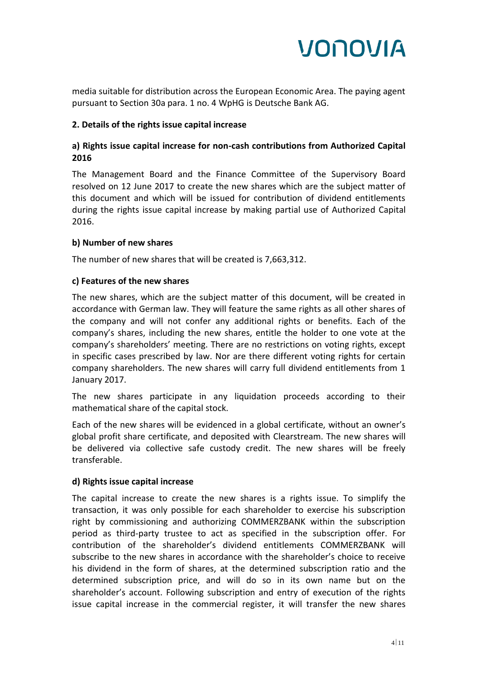

media suitable for distribution across the European Economic Area. The paying agent pursuant to Section 30a para. 1 no. 4 WpHG is Deutsche Bank AG.

### **2. Details of the rights issue capital increase**

# **a) Rights issue capital increase for non-cash contributions from Authorized Capital 2016**

The Management Board and the Finance Committee of the Supervisory Board resolved on 12 June 2017 to create the new shares which are the subject matter of this document and which will be issued for contribution of dividend entitlements during the rights issue capital increase by making partial use of Authorized Capital 2016.

### **b) Number of new shares**

The number of new shares that will be created is 7,663,312.

## **c) Features of the new shares**

The new shares, which are the subject matter of this document, will be created in accordance with German law. They will feature the same rights as all other shares of the company and will not confer any additional rights or benefits. Each of the company's shares, including the new shares, entitle the holder to one vote at the company's shareholders' meeting. There are no restrictions on voting rights, except in specific cases prescribed by law. Nor are there different voting rights for certain company shareholders. The new shares will carry full dividend entitlements from 1 January 2017.

The new shares participate in any liquidation proceeds according to their mathematical share of the capital stock.

Each of the new shares will be evidenced in a global certificate, without an owner's global profit share certificate, and deposited with Clearstream. The new shares will be delivered via collective safe custody credit. The new shares will be freely transferable.

### **d) Rights issue capital increase**

The capital increase to create the new shares is a rights issue. To simplify the transaction, it was only possible for each shareholder to exercise his subscription right by commissioning and authorizing COMMERZBANK within the subscription period as third-party trustee to act as specified in the subscription offer. For contribution of the shareholder's dividend entitlements COMMERZBANK will subscribe to the new shares in accordance with the shareholder's choice to receive his dividend in the form of shares, at the determined subscription ratio and the determined subscription price, and will do so in its own name but on the shareholder's account. Following subscription and entry of execution of the rights issue capital increase in the commercial register, it will transfer the new shares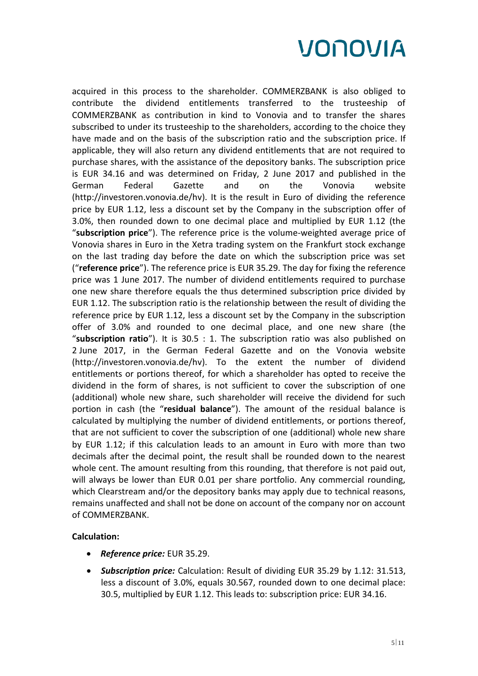acquired in this process to the shareholder. COMMERZBANK is also obliged to contribute the dividend entitlements transferred to the trusteeship of COMMERZBANK as contribution in kind to Vonovia and to transfer the shares subscribed to under its trusteeship to the shareholders, according to the choice they have made and on the basis of the subscription ratio and the subscription price. If applicable, they will also return any dividend entitlements that are not required to purchase shares, with the assistance of the depository banks. The subscription price is EUR 34.16 and was determined on Friday, 2 June 2017 and published in the German Federal Gazette and on the Vonovia website (http://investoren.vonovia.de/hv). It is the result in Euro of dividing the reference price by EUR 1.12, less a discount set by the Company in the subscription offer of 3.0%, then rounded down to one decimal place and multiplied by EUR 1.12 (the "**subscription price**"). The reference price is the volume-weighted average price of Vonovia shares in Euro in the Xetra trading system on the Frankfurt stock exchange on the last trading day before the date on which the subscription price was set ("**reference price**"). The reference price is EUR 35.29. The day for fixing the reference price was 1 June 2017. The number of dividend entitlements required to purchase one new share therefore equals the thus determined subscription price divided by EUR 1.12. The subscription ratio is the relationship between the result of dividing the reference price by EUR 1.12, less a discount set by the Company in the subscription offer of 3.0% and rounded to one decimal place, and one new share (the "**subscription ratio**"). It is 30.5 : 1. The subscription ratio was also published on 2 June 2017, in the German Federal Gazette and on the Vonovia website (http://investoren.vonovia.de/hv). To the extent the number of dividend entitlements or portions thereof, for which a shareholder has opted to receive the dividend in the form of shares, is not sufficient to cover the subscription of one (additional) whole new share, such shareholder will receive the dividend for such portion in cash (the "**residual balance**"). The amount of the residual balance is calculated by multiplying the number of dividend entitlements, or portions thereof, that are not sufficient to cover the subscription of one (additional) whole new share by EUR 1.12; if this calculation leads to an amount in Euro with more than two decimals after the decimal point, the result shall be rounded down to the nearest whole cent. The amount resulting from this rounding, that therefore is not paid out, will always be lower than EUR 0.01 per share portfolio. Any commercial rounding, which Clearstream and/or the depository banks may apply due to technical reasons, remains unaffected and shall not be done on account of the company nor on account of COMMERZBANK.

### **Calculation:**

- *Reference price:* EUR 35.29.
- *Subscription price:* Calculation: Result of dividing EUR 35.29 by 1.12: 31.513, less a discount of 3.0%, equals 30.567, rounded down to one decimal place: 30.5, multiplied by EUR 1.12. This leads to: subscription price: EUR 34.16.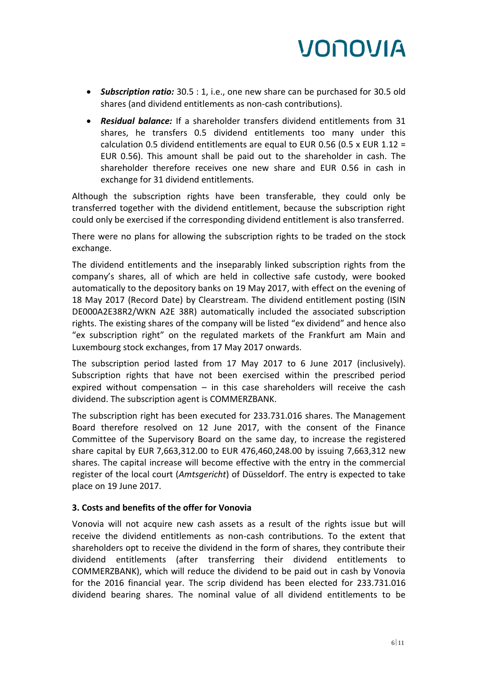- *Subscription ratio:* 30.5 : 1, i.e., one new share can be purchased for 30.5 old shares (and dividend entitlements as non-cash contributions).
- *Residual balance:* If a shareholder transfers dividend entitlements from 31 shares, he transfers 0.5 dividend entitlements too many under this calculation 0.5 dividend entitlements are equal to EUR 0.56 (0.5 x EUR 1.12 = EUR 0.56). This amount shall be paid out to the shareholder in cash. The shareholder therefore receives one new share and EUR 0.56 in cash in exchange for 31 dividend entitlements.

Although the subscription rights have been transferable, they could only be transferred together with the dividend entitlement, because the subscription right could only be exercised if the corresponding dividend entitlement is also transferred.

There were no plans for allowing the subscription rights to be traded on the stock exchange.

The dividend entitlements and the inseparably linked subscription rights from the company's shares, all of which are held in collective safe custody, were booked automatically to the depository banks on 19 May 2017, with effect on the evening of 18 May 2017 (Record Date) by Clearstream. The dividend entitlement posting (ISIN DE000A2E38R2/WKN A2E 38R) automatically included the associated subscription rights. The existing shares of the company will be listed "ex dividend" and hence also "ex subscription right" on the regulated markets of the Frankfurt am Main and Luxembourg stock exchanges, from 17 May 2017 onwards.

The subscription period lasted from 17 May 2017 to 6 June 2017 (inclusively). Subscription rights that have not been exercised within the prescribed period expired without compensation  $-$  in this case shareholders will receive the cash dividend. The subscription agent is COMMERZBANK.

The subscription right has been executed for 233.731.016 shares. The Management Board therefore resolved on 12 June 2017, with the consent of the Finance Committee of the Supervisory Board on the same day, to increase the registered share capital by EUR 7,663,312.00 to EUR 476,460,248.00 by issuing 7,663,312 new shares. The capital increase will become effective with the entry in the commercial register of the local court (*Amtsgericht*) of Düsseldorf. The entry is expected to take place on 19 June 2017.

# **3. Costs and benefits of the offer for Vonovia**

Vonovia will not acquire new cash assets as a result of the rights issue but will receive the dividend entitlements as non-cash contributions. To the extent that shareholders opt to receive the dividend in the form of shares, they contribute their dividend entitlements (after transferring their dividend entitlements to COMMERZBANK), which will reduce the dividend to be paid out in cash by Vonovia for the 2016 financial year. The scrip dividend has been elected for 233.731.016 dividend bearing shares. The nominal value of all dividend entitlements to be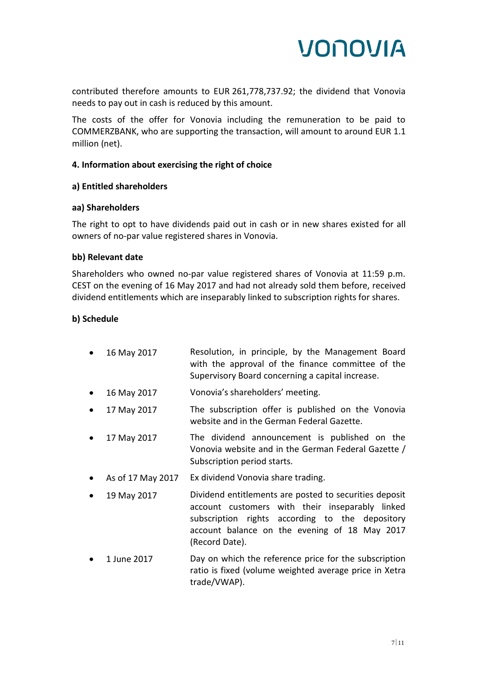

contributed therefore amounts to EUR 261,778,737.92; the dividend that Vonovia needs to pay out in cash is reduced by this amount.

The costs of the offer for Vonovia including the remuneration to be paid to COMMERZBANK, who are supporting the transaction, will amount to around EUR 1.1 million (net).

### **4. Information about exercising the right of choice**

#### **a) Entitled shareholders**

#### **aa) Shareholders**

The right to opt to have dividends paid out in cash or in new shares existed for all owners of no-par value registered shares in Vonovia.

#### **bb) Relevant date**

Shareholders who owned no-par value registered shares of Vonovia at 11:59 p.m. CEST on the evening of 16 May 2017 and had not already sold them before, received dividend entitlements which are inseparably linked to subscription rights for shares.

### **b) Schedule**

- 16 May 2017 Resolution, in principle, by the Management Board with the approval of the finance committee of the Supervisory Board concerning a capital increase.
- 16 May 2017 Vonovia's shareholders' meeting.
- 17 May 2017 The subscription offer is published on the Vonovia website and in the German Federal Gazette.
- 17 May 2017 The dividend announcement is published on the Vonovia website and in the German Federal Gazette / Subscription period starts.
- As of 17 May 2017 Ex dividend Vonovia share trading.
- 19 May 2017 Dividend entitlements are posted to securities deposit account customers with their inseparably linked subscription rights according to the depository account balance on the evening of 18 May 2017 (Record Date).
- 1 June 2017 Day on which the reference price for the subscription ratio is fixed (volume weighted average price in Xetra trade/VWAP).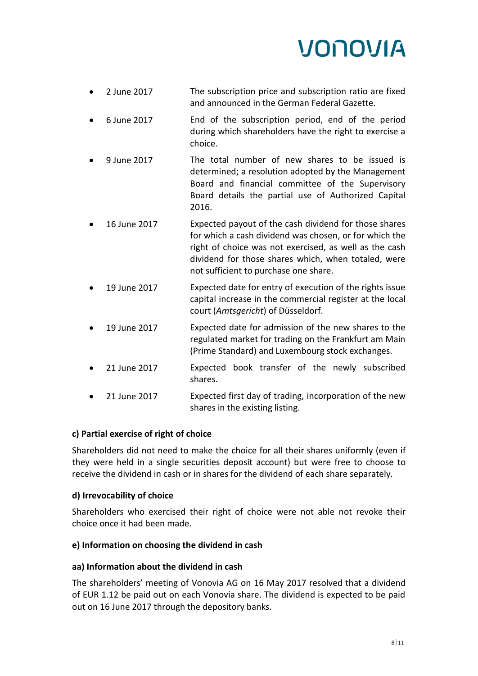- 2 June 2017 The subscription price and subscription ratio are fixed and announced in the German Federal Gazette.
- 6 June 2017 End of the subscription period, end of the period during which shareholders have the right to exercise a choice.
- 9 June 2017 The total number of new shares to be issued is determined; a resolution adopted by the Management Board and financial committee of the Supervisory Board details the partial use of Authorized Capital 2016.
- 16 June 2017 Expected payout of the cash dividend for those shares for which a cash dividend was chosen, or for which the right of choice was not exercised, as well as the cash dividend for those shares which, when totaled, were not sufficient to purchase one share.
- 19 June 2017 Expected date for entry of execution of the rights issue capital increase in the commercial register at the local court (*Amtsgericht*) of Düsseldorf.
- 19 June 2017 Expected date for admission of the new shares to the regulated market for trading on the Frankfurt am Main (Prime Standard) and Luxembourg stock exchanges.
- 21 June 2017 Expected book transfer of the newly subscribed shares.
- 21 June 2017 Expected first day of trading, incorporation of the new shares in the existing listing.

# **c) Partial exercise of right of choice**

Shareholders did not need to make the choice for all their shares uniformly (even if they were held in a single securities deposit account) but were free to choose to receive the dividend in cash or in shares for the dividend of each share separately.

# **d) Irrevocability of choice**

Shareholders who exercised their right of choice were not able not revoke their choice once it had been made.

# **e) Information on choosing the dividend in cash**

# **aa) Information about the dividend in cash**

The shareholders' meeting of Vonovia AG on 16 May 2017 resolved that a dividend of EUR 1.12 be paid out on each Vonovia share. The dividend is expected to be paid out on 16 June 2017 through the depository banks.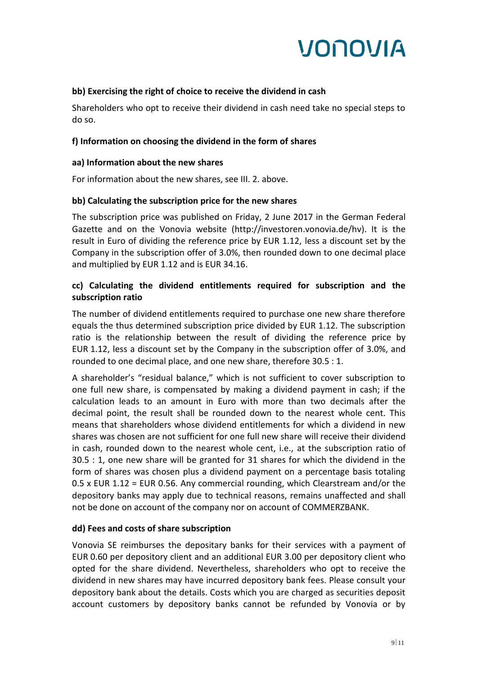

### **bb) Exercising the right of choice to receive the dividend in cash**

Shareholders who opt to receive their dividend in cash need take no special steps to do so.

### **f) Information on choosing the dividend in the form of shares**

#### **aa) Information about the new shares**

For information about the new shares, see III. 2. above.

### **bb) Calculating the subscription price for the new shares**

The subscription price was published on Friday, 2 June 2017 in the German Federal Gazette and on the Vonovia website (http://investoren.vonovia.de/hv). It is the result in Euro of dividing the reference price by EUR 1.12, less a discount set by the Company in the subscription offer of 3.0%, then rounded down to one decimal place and multiplied by EUR 1.12 and is EUR 34.16.

## **cc) Calculating the dividend entitlements required for subscription and the subscription ratio**

The number of dividend entitlements required to purchase one new share therefore equals the thus determined subscription price divided by EUR 1.12. The subscription ratio is the relationship between the result of dividing the reference price by EUR 1.12, less a discount set by the Company in the subscription offer of 3.0%, and rounded to one decimal place, and one new share, therefore 30.5 : 1.

A shareholder's "residual balance," which is not sufficient to cover subscription to one full new share, is compensated by making a dividend payment in cash; if the calculation leads to an amount in Euro with more than two decimals after the decimal point, the result shall be rounded down to the nearest whole cent. This means that shareholders whose dividend entitlements for which a dividend in new shares was chosen are not sufficient for one full new share will receive their dividend in cash, rounded down to the nearest whole cent, i.e., at the subscription ratio of 30.5 : 1, one new share will be granted for 31 shares for which the dividend in the form of shares was chosen plus a dividend payment on a percentage basis totaling 0.5 x EUR 1.12 = EUR 0.56. Any commercial rounding, which Clearstream and/or the depository banks may apply due to technical reasons, remains unaffected and shall not be done on account of the company nor on account of COMMERZBANK.

### **dd) Fees and costs of share subscription**

Vonovia SE reimburses the depositary banks for their services with a payment of EUR 0.60 per depository client and an additional EUR 3.00 per depository client who opted for the share dividend. Nevertheless, shareholders who opt to receive the dividend in new shares may have incurred depository bank fees. Please consult your depository bank about the details. Costs which you are charged as securities deposit account customers by depository banks cannot be refunded by Vonovia or by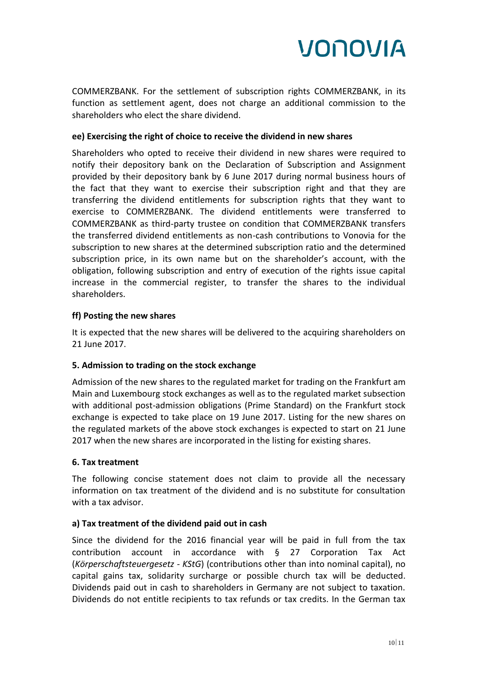COMMERZBANK. For the settlement of subscription rights COMMERZBANK, in its function as settlement agent, does not charge an additional commission to the shareholders who elect the share dividend.

# **ee) Exercising the right of choice to receive the dividend in new shares**

Shareholders who opted to receive their dividend in new shares were required to notify their depository bank on the Declaration of Subscription and Assignment provided by their depository bank by 6 June 2017 during normal business hours of the fact that they want to exercise their subscription right and that they are transferring the dividend entitlements for subscription rights that they want to exercise to COMMERZBANK. The dividend entitlements were transferred to COMMERZBANK as third-party trustee on condition that COMMERZBANK transfers the transferred dividend entitlements as non-cash contributions to Vonovia for the subscription to new shares at the determined subscription ratio and the determined subscription price, in its own name but on the shareholder's account, with the obligation, following subscription and entry of execution of the rights issue capital increase in the commercial register, to transfer the shares to the individual shareholders.

## **ff) Posting the new shares**

It is expected that the new shares will be delivered to the acquiring shareholders on 21 June 2017.

### **5. Admission to trading on the stock exchange**

Admission of the new shares to the regulated market for trading on the Frankfurt am Main and Luxembourg stock exchanges as well as to the regulated market subsection with additional post-admission obligations (Prime Standard) on the Frankfurt stock exchange is expected to take place on 19 June 2017. Listing for the new shares on the regulated markets of the above stock exchanges is expected to start on 21 June 2017 when the new shares are incorporated in the listing for existing shares.

### **6. Tax treatment**

The following concise statement does not claim to provide all the necessary information on tax treatment of the dividend and is no substitute for consultation with a tax advisor.

# **a) Tax treatment of the dividend paid out in cash**

Since the dividend for the 2016 financial year will be paid in full from the tax contribution account in accordance with § 27 Corporation Tax Act (*Körperschaftsteuergesetz - KStG*) (contributions other than into nominal capital), no capital gains tax, solidarity surcharge or possible church tax will be deducted. Dividends paid out in cash to shareholders in Germany are not subject to taxation. Dividends do not entitle recipients to tax refunds or tax credits. In the German tax